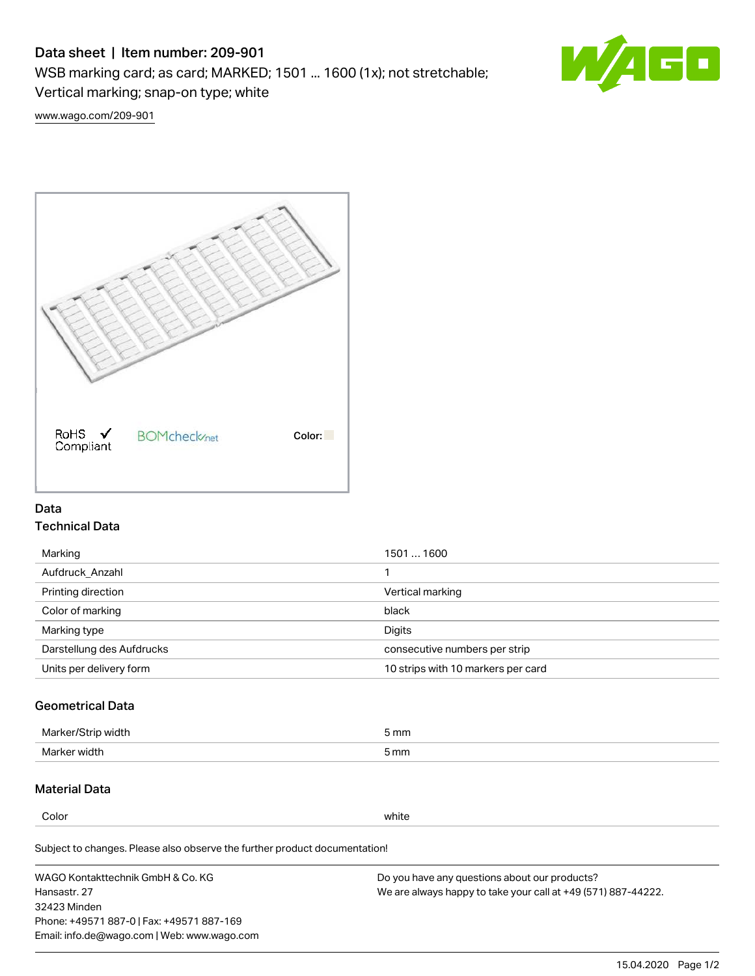# Data sheet | Item number: 209-901

WSB marking card; as card; MARKED; 1501 ... 1600 (1x); not stretchable;

Vertical marking; snap-on type; white



[www.wago.com/209-901](http://www.wago.com/209-901)



### Data Technical Data

| 1501  1600                         |
|------------------------------------|
|                                    |
| Vertical marking                   |
| black                              |
| Digits                             |
| consecutive numbers per strip      |
| 10 strips with 10 markers per card |
|                                    |

## Geometrical Data

| <b>Marker</b><br>width | 5 mm |
|------------------------|------|
| Marker width           | 5 mm |

### Material Data

Color white

Subject to changes. Please also observe the further product documentation!

WAGO Kontakttechnik GmbH & Co. KG Hansastr. 27 32423 Minden Phone: +49571 887-0 | Fax: +49571 887-169 Email: info.de@wago.com | Web: www.wago.com Do you have any questions about our products? We are always happy to take your call at +49 (571) 887-44222.